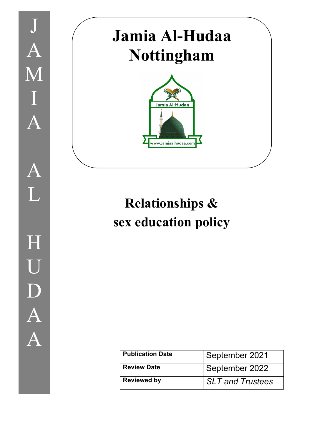

# **Jamia Al-Hudaa Nottingham**



## **Relationships & sex education policy**

| <b>Publication Date</b> | September 2021          |
|-------------------------|-------------------------|
| Review Date             | September 2022          |
| <b>Reviewed by</b>      | <b>SLT and Trustees</b> |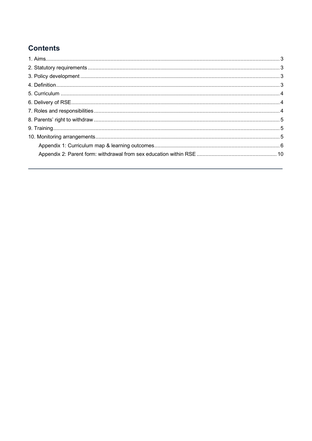## **Contents**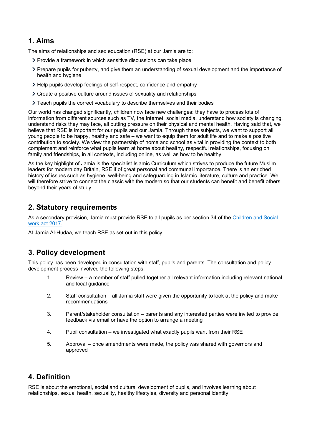## **1. Aims**

The aims of relationships and sex education (RSE) at our Jamia are to:

- Provide a framework in which sensitive discussions can take place
- Prepare pupils for puberty, and give them an understanding of sexual development and the importance of health and hygiene
- Help pupils develop feelings of self-respect, confidence and empathy
- Create a positive culture around issues of sexuality and relationships
- Teach pupils the correct vocabulary to describe themselves and their bodies

Our world has changed significantly, children now face new challenges: they have to process lots of information from different sources such as TV, the Internet, social media, understand how society is changing, understand risks they may face, all putting pressure on their physical and mental health. Having said that, we believe that RSE is important for our pupils and our Jamia. Through these subjects, we want to support all young people to be happy, healthy and safe – we want to equip them for adult life and to make a positive contribution to society. We view the partnership of home and school as vital in providing the context to both complement and reinforce what pupils learn at home about healthy, respectful relationships, focusing on family and friendships, in all contexts, including online, as well as how to be healthy.

As the key highlight of Jamia is the specialist Islamic Curriculum which strives to produce the future Muslim leaders for modern day Britain, RSE if of great personal and communal importance. There is an enriched history of issues such as hygiene, well-being and safeguarding in Islamic literature, culture and practice. We will therefore strive to connect the classic with the modern so that our students can benefit and benefit others beyond their years of study.

## **2. Statutory requirements**

As a secondary provision, Jamia must provide RSE to all pupils as per section 34 of the Children and Social work act 2017.

At Jamia Al-Hudaa, we teach RSE as set out in this policy.

## **3. Policy development**

This policy has been developed in consultation with staff, pupils and parents. The consultation and policy development process involved the following steps:

- 1. Review a member of staff pulled together all relevant information including relevant national and local guidance
- 2. Staff consultation all Jamia staff were given the opportunity to look at the policy and make recommendations
- 3. Parent/stakeholder consultation parents and any interested parties were invited to provide feedback via email or have the option to arrange a meeting
- 4. Pupil consultation we investigated what exactly pupils want from their RSE
- 5. Approval once amendments were made, the policy was shared with governors and approved

## **4. Definition**

RSE is about the emotional, social and cultural development of pupils, and involves learning about relationships, sexual health, sexuality, healthy lifestyles, diversity and personal identity.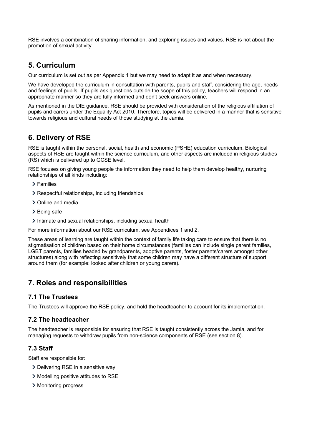RSE involves a combination of sharing information, and exploring issues and values. RSE is not about the promotion of sexual activity.

## **5. Curriculum**

Our curriculum is set out as per Appendix 1 but we may need to adapt it as and when necessary.

We have developed the curriculum in consultation with parents, pupils and staff, considering the age, needs and feelings of pupils. If pupils ask questions outside the scope of this policy, teachers will respond in an appropriate manner so they are fully informed and don't seek answers online.

As mentioned in the DfE guidance, RSE should be provided with consideration of the religious affiliation of pupils and carers under the Equality Act 2010. Therefore, topics will be delivered in a manner that is sensitive towards religious and cultural needs of those studying at the Jamia.

## **6. Delivery of RSE**

RSE is taught within the personal, social, health and economic (PSHE) education curriculum. Biological aspects of RSE are taught within the science curriculum, and other aspects are included in religious studies (RS) which is delivered up to GCSE level.

RSE focuses on giving young people the information they need to help them develop healthy, nurturing relationships of all kinds including:

- Families
- Respectful relationships, including friendships
- > Online and media
- > Being safe
- Intimate and sexual relationships, including sexual health

For more information about our RSE curriculum, see Appendices 1 and 2.

These areas of learning are taught within the context of family life taking care to ensure that there is no stigmatisation of children based on their home circumstances (families can include single parent families, LGBT parents, families headed by grandparents, adoptive parents, foster parents/carers amongst other structures) along with reflecting sensitively that some children may have a different structure of support around them (for example: looked after children or young carers).

## **7. Roles and responsibilities**

#### **7.1 The Trustees**

The Trustees will approve the RSE policy, and hold the headteacher to account for its implementation.

#### **7.2 The headteacher**

The headteacher is responsible for ensuring that RSE is taught consistently across the Jamia, and for managing requests to withdraw pupils from non-science components of RSE (see section 8).

#### **7.3 Staff**

Staff are responsible for:

- > Delivering RSE in a sensitive way
- Modelling positive attitudes to RSE
- > Monitoring progress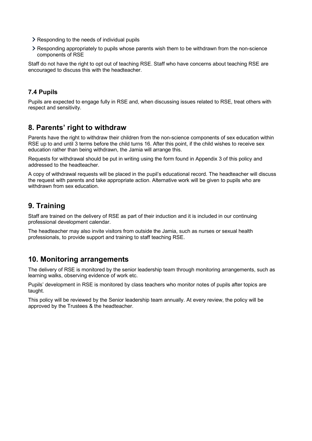- > Responding to the needs of individual pupils
- Responding appropriately to pupils whose parents wish them to be withdrawn from the non-science components of RSE

Staff do not have the right to opt out of teaching RSE. Staff who have concerns about teaching RSE are encouraged to discuss this with the headteacher.

#### **7.4 Pupils**

Pupils are expected to engage fully in RSE and, when discussing issues related to RSE, treat others with respect and sensitivity.

## **8. Parents' right to withdraw**

Parents have the right to withdraw their children from the non-science components of sex education within RSE up to and until 3 terms before the child turns 16. After this point, if the child wishes to receive sex education rather than being withdrawn, the Jamia will arrange this.

Requests for withdrawal should be put in writing using the form found in Appendix 3 of this policy and addressed to the headteacher.

A copy of withdrawal requests will be placed in the pupil's educational record. The headteacher will discuss the request with parents and take appropriate action. Alternative work will be given to pupils who are withdrawn from sex education.

## **9. Training**

Staff are trained on the delivery of RSE as part of their induction and it is included in our continuing professional development calendar.

The headteacher may also invite visitors from outside the Jamia, such as nurses or sexual health professionals, to provide support and training to staff teaching RSE.

## **10. Monitoring arrangements**

The delivery of RSE is monitored by the senior leadership team through monitoring arrangements, such as learning walks, observing evidence of work etc.

Pupils' development in RSE is monitored by class teachers who monitor notes of pupils after topics are taught.

This policy will be reviewed by the Senior leadership team annually. At every review, the policy will be approved by the Trustees & the headteacher.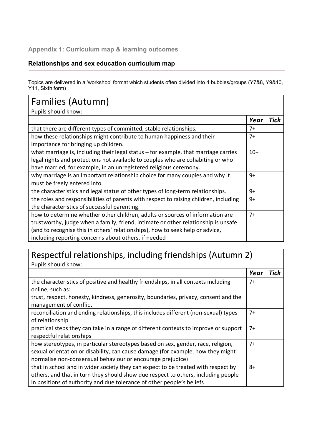### **Appendix 1: Curriculum map & learning outcomes**

#### **Relationships and sex education curriculum map**

Topics are delivered in a 'workshop' format which students often divided into 4 bubbles/groups (Y7&8, Y9&10, Y11, Sixth form)

| Families (Autumn)                                                                                                                                                                                                                                                                                            |       |      |
|--------------------------------------------------------------------------------------------------------------------------------------------------------------------------------------------------------------------------------------------------------------------------------------------------------------|-------|------|
| Pupils should know:                                                                                                                                                                                                                                                                                          |       |      |
|                                                                                                                                                                                                                                                                                                              | Year  | Tick |
| that there are different types of committed, stable relationships.                                                                                                                                                                                                                                           | $7+$  |      |
| how these relationships might contribute to human happiness and their<br>importance for bringing up children.                                                                                                                                                                                                | $7+$  |      |
| what marriage is, including their legal status $-$ for example, that marriage carries<br>legal rights and protections not available to couples who are cohabiting or who<br>have married, for example, in an unregistered religious ceremony.                                                                | $10+$ |      |
| why marriage is an important relationship choice for many couples and why it<br>must be freely entered into.                                                                                                                                                                                                 | $9+$  |      |
| the characteristics and legal status of other types of long-term relationships.                                                                                                                                                                                                                              | 9+    |      |
| the roles and responsibilities of parents with respect to raising children, including<br>the characteristics of successful parenting.                                                                                                                                                                        | $9+$  |      |
| how to determine whether other children, adults or sources of information are<br>trustworthy, judge when a family, friend, intimate or other relationship is unsafe<br>(and to recognise this in others' relationships), how to seek help or advice,<br>including reporting concerns about others, if needed | $7+$  |      |

## Respectful relationships, including friendships (Autumn 2) Pupils should know:

|                                                                                      | Year | <b>Tick</b> |
|--------------------------------------------------------------------------------------|------|-------------|
| the characteristics of positive and healthy friendships, in all contexts including   | $7+$ |             |
| online, such as:                                                                     |      |             |
| trust, respect, honesty, kindness, generosity, boundaries, privacy, consent and the  |      |             |
| management of conflict                                                               |      |             |
| reconciliation and ending relationships, this includes different (non-sexual) types  | $7+$ |             |
| of relationship                                                                      |      |             |
| practical steps they can take in a range of different contexts to improve or support | $7+$ |             |
| respectful relationships                                                             |      |             |
| how stereotypes, in particular stereotypes based on sex, gender, race, religion,     | $7+$ |             |
| sexual orientation or disability, can cause damage (for example, how they might      |      |             |
| normalise non-consensual behaviour or encourage prejudice)                           |      |             |
| that in school and in wider society they can expect to be treated with respect by    | 8+   |             |
| others, and that in turn they should show due respect to others, including people    |      |             |
| in positions of authority and due tolerance of other people's beliefs                |      |             |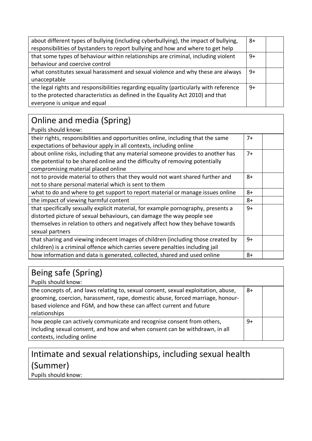| about different types of bullying (including cyberbullying), the impact of bullying,  |    |  |
|---------------------------------------------------------------------------------------|----|--|
| responsibilities of bystanders to report bullying and how and where to get help       |    |  |
| that some types of behaviour within relationships are criminal, including violent     |    |  |
| behaviour and coercive control                                                        |    |  |
| what constitutes sexual harassment and sexual violence and why these are always       |    |  |
| unacceptable                                                                          |    |  |
| the legal rights and responsibilities regarding equality (particularly with reference | 9+ |  |
| to the protected characteristics as defined in the Equality Act 2010) and that        |    |  |
| everyone is unique and equal                                                          |    |  |

#### Online and media (Spring) Pupils should know: their rights, responsibilities and opportunities online, including that the same expectations of behaviour apply in all contexts, including online 7+ about online risks, including that any material someone provides to another has the potential to be shared online and the difficulty of removing potentially compromising material placed online 7+ not to provide material to others that they would not want shared further and not to share personal material which is sent to them 8+ what to do and where to get support to report material or manage issues online  $\begin{array}{|l|} 8+ \end{array}$ the impact of viewing harmful content  $8+$ that specifically sexually explicit material, for example pornography, presents a distorted picture of sexual behaviours, can damage the way people see themselves in relation to others and negatively affect how they behave towards sexual partners 9+ that sharing and viewing indecent images of children (including those created by children) is a criminal offence which carries severe penalties including jail  $9+$ how information and data is generated, collected, shared and used online  $|8+$

| Being safe (Spring)                                                                                                                                                                                                                                          |      |  |
|--------------------------------------------------------------------------------------------------------------------------------------------------------------------------------------------------------------------------------------------------------------|------|--|
| Pupils should know:                                                                                                                                                                                                                                          |      |  |
| the concepts of, and laws relating to, sexual consent, sexual exploitation, abuse,<br>grooming, coercion, harassment, rape, domestic abuse, forced marriage, honour-<br>based violence and FGM, and how these can affect current and future<br>relationships | $8+$ |  |
| how people can actively communicate and recognise consent from others,<br>including sexual consent, and how and when consent can be withdrawn, in all<br>contexts, including online                                                                          | 9+   |  |

## Intimate and sexual relationships, including sexual health (Summer)

Pupils should know: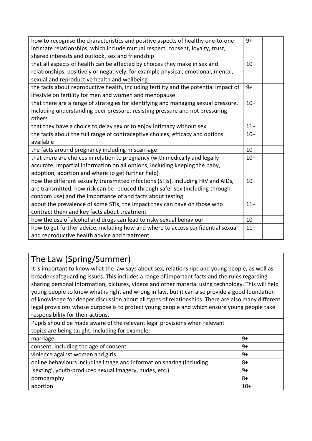| $9+$  |  |
|-------|--|
|       |  |
|       |  |
| $10+$ |  |
|       |  |
|       |  |
| $9+$  |  |
|       |  |
| $10+$ |  |
|       |  |
|       |  |
| $11+$ |  |
| $10+$ |  |
|       |  |
| $10+$ |  |
| $10+$ |  |
|       |  |
|       |  |
| $10+$ |  |
|       |  |
|       |  |
| $11+$ |  |
|       |  |
| $10+$ |  |
| $11+$ |  |
|       |  |
|       |  |

## The Law (Spring/Summer)

It is important to know what the law says about sex, relationships and young people, as well as broader safeguarding issues. This includes a range of important facts and the rules regarding sharing personal information, pictures, videos and other material using technology. This will help young people to know what is right and wrong in law, but it can also provide a good foundation of knowledge for deeper discussion about all types of relationships. There are also many different legal provisions whose purpose is to protect young people and which ensure young people take responsibility for their actions.

| Pupils should be made aware of the relevant legal provisions when relevant |       |  |
|----------------------------------------------------------------------------|-------|--|
| topics are being taught, including for example:                            |       |  |
| marriage                                                                   | 9+    |  |
| consent, including the age of consent                                      | 9+    |  |
| violence against women and girls                                           |       |  |
| online behaviours including image and information sharing (including       |       |  |
| 'sexting', youth-produced sexual imagery, nudes, etc.)                     |       |  |
| pornography                                                                | $8+$  |  |
| abortion                                                                   | $10+$ |  |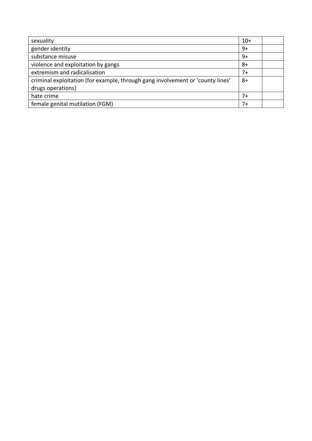| sexuality                                                                      |    |  |
|--------------------------------------------------------------------------------|----|--|
| gender identity                                                                | 9+ |  |
| substance misuse                                                               | 9+ |  |
| violence and exploitation by gangs                                             | 8+ |  |
| extremism and radicalisation                                                   |    |  |
| criminal exploitation (for example, through gang involvement or 'county lines' |    |  |
| drugs operations)                                                              |    |  |
| hate crime                                                                     |    |  |
| female genital mutilation (FGM)                                                |    |  |